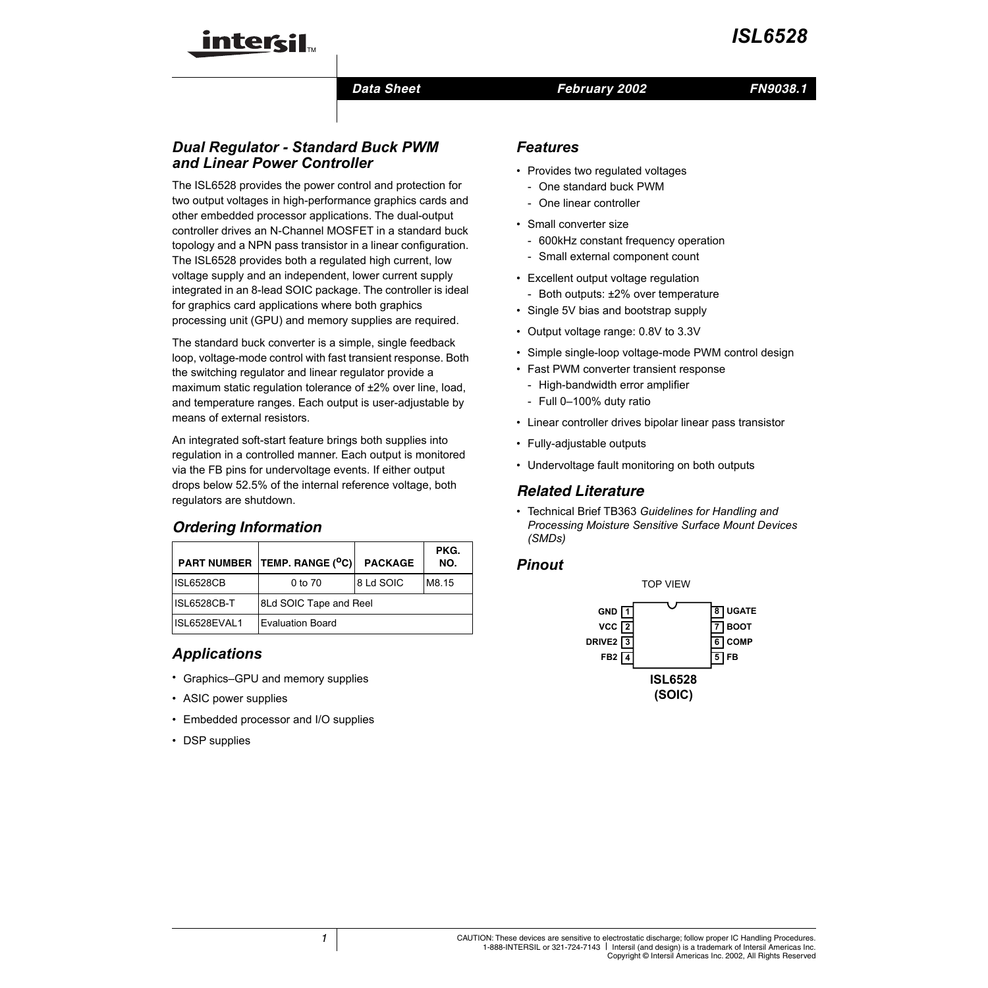

### *Data Sheet February 2002*

# *Dual Regulator - Standard Buck PWM and Linear Power Controller*

The ISL6528 provides the power control and protection for two output voltages in high-performance graphics cards and other embedded processor applications. The dual-output controller drives an N-Channel MOSFET in a standard buck topology and a NPN pass transistor in a linear configuration. The ISL6528 provides both a regulated high current, low voltage supply and an independent, lower current supply integrated in an 8-lead SOIC package. The controller is ideal for graphics card applications where both graphics processing unit (GPU) and memory supplies are required.

The standard buck converter is a simple, single feedback loop, voltage-mode control with fast transient response. Both the switching regulator and linear regulator provide a maximum static regulation tolerance of  $\pm 2\%$  over line, load, and temperature ranges. Each output is user-adjustable by means of external resistors.

An integrated soft-start feature brings both supplies into regulation in a controlled manner. Each output is monitored via the FB pins for undervoltage events. If either output drops below 52.5% of the internal reference voltage, both regulators are shutdown.

# *Ordering Information*

|                  | PART NUMBER TEMP. RANGE (°C) | <b>PACKAGE</b> | PKG.<br>NO. |  |
|------------------|------------------------------|----------------|-------------|--|
| <b>ISL6528CB</b> | 0 to 70                      | 8 Ld SOIC      | M8.15       |  |
| ISL6528CB-T      | 8Ld SOIC Tape and Reel       |                |             |  |
| ISL6528EVAL1     | <b>Evaluation Board</b>      |                |             |  |

# *Applications*

- Graphics–GPU and memory supplies
- ASIC power supplies
- Embedded processor and I/O supplies
- DSP supplies

# *Features*

- Provides two regulated voltages
	- One standard buck PWM
	- One linear controller
- Small converter size
	- 600kHz constant frequency operation
	- Small external component count
- Excellent output voltage regulation
	- Both outputs: ±2% over temperature
- Single 5V bias and bootstrap supply
- Output voltage range: 0.8V to 3.3V
- Simple single-loop voltage-mode PWM control design
- Fast PWM converter transient response
	- High-bandwidth error amplifier
	- Full 0–100% duty ratio
- Linear controller drives bipolar linear pass transistor
- Fully-adjustable outputs
- Undervoltage fault monitoring on both outputs

## *Related Literature*

• Technical Brief TB363 *Guidelines for Handling and Processing Moisture Sensitive Surface Mount Devices (SMDs)*

### *Pinout*

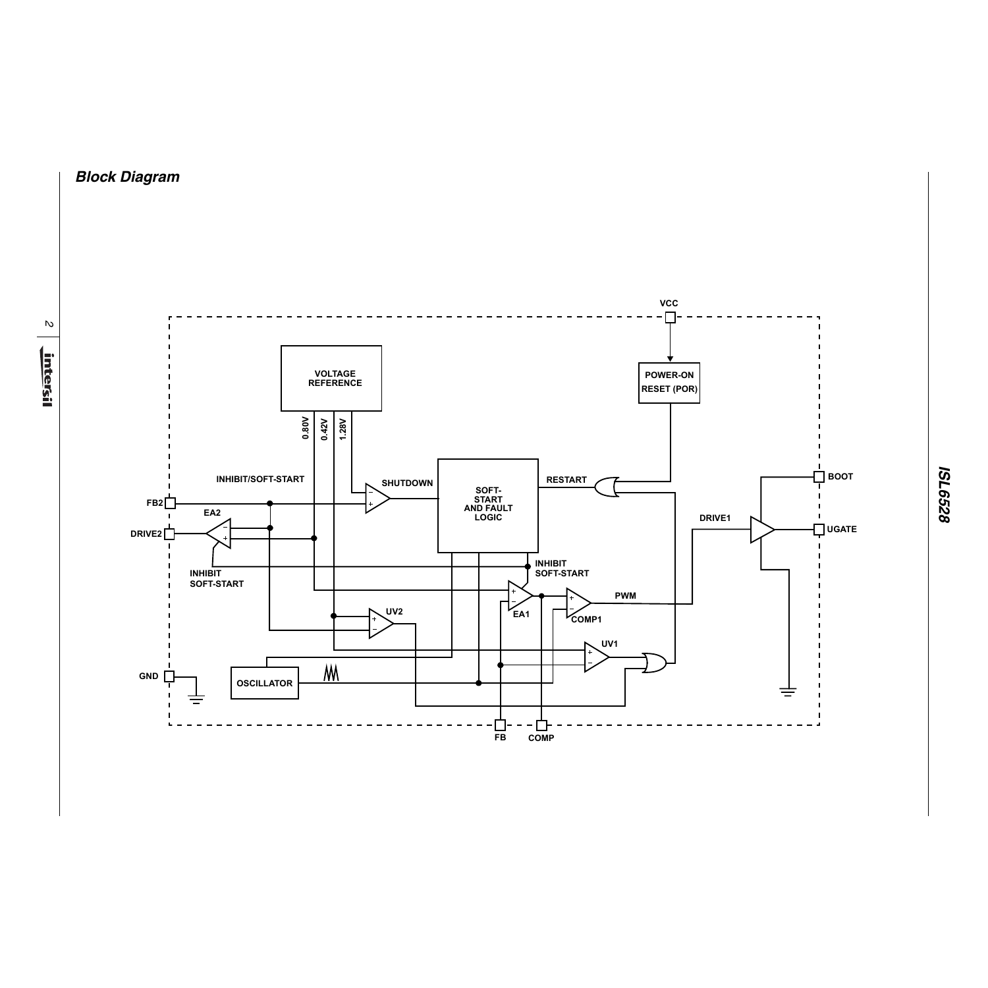# *Block Diagram*

*2*

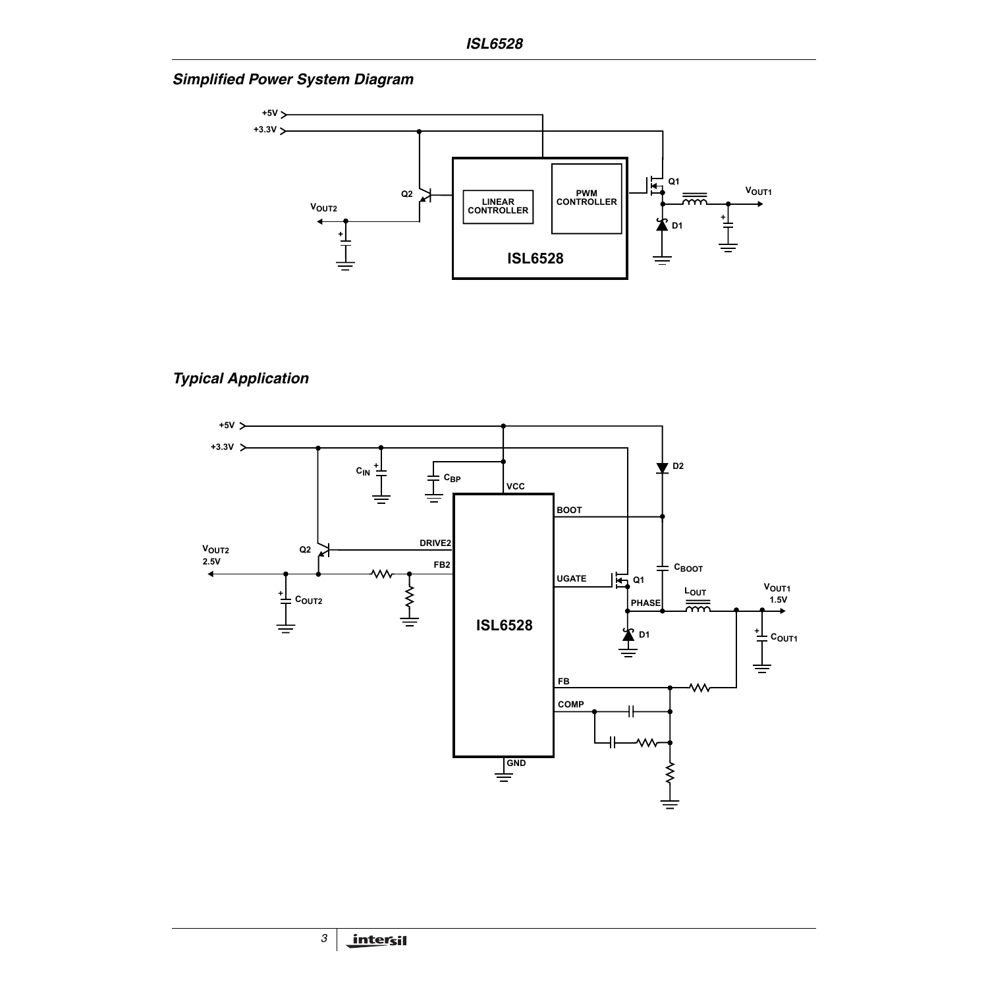*Simplified Power System Diagram*



# *Typical Application*

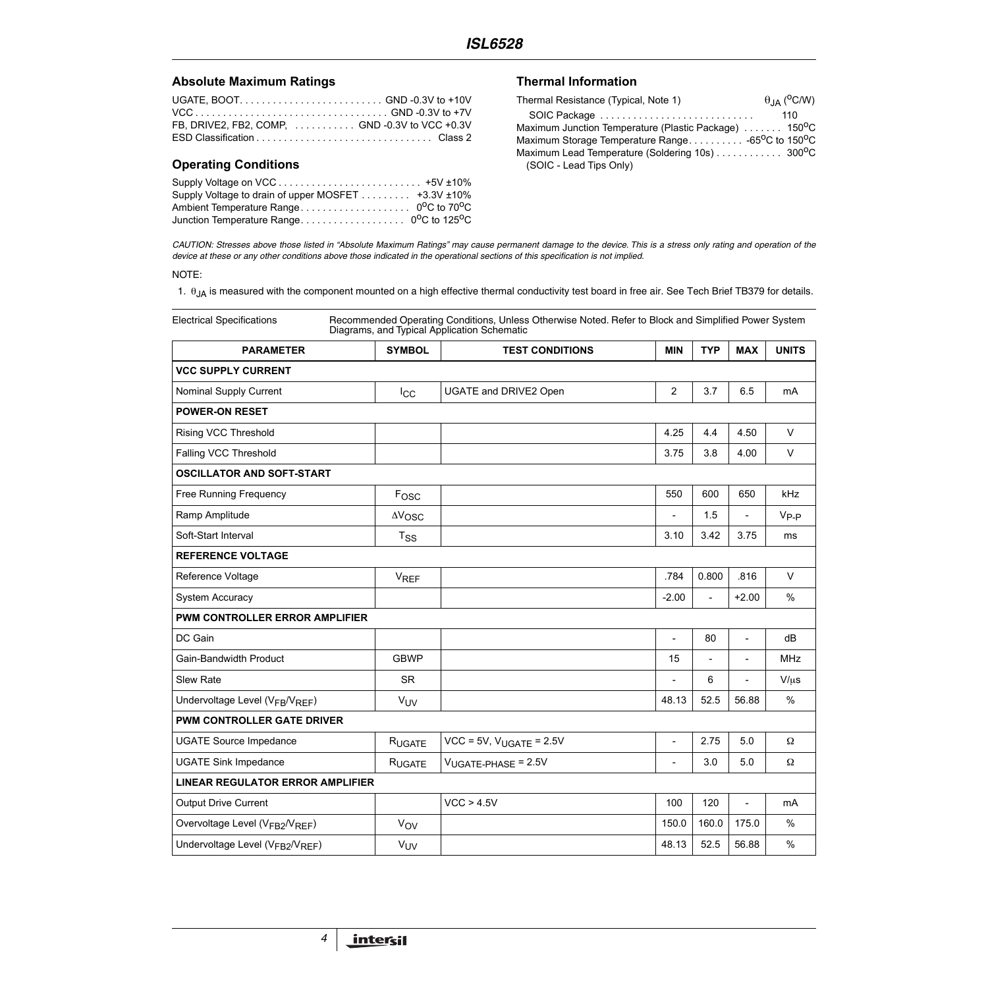### Absolute Maximum Ratings **Thermal Information**

### **Operating Conditions**

| Supply Voltage to drain of upper MOSFET 43.3V ±10% |  |
|----------------------------------------------------|--|
|                                                    |  |
| Junction Temperature Range 0°C to 125°C            |  |

| Thermal Resistance (Typical, Note 1)                                       | $\theta$ <sub>JA</sub> ( <sup>o</sup> C/W) |
|----------------------------------------------------------------------------|--------------------------------------------|
|                                                                            | 110                                        |
| Maximum Junction Temperature (Plastic Package)  150 <sup>0</sup> C         |                                            |
| Maximum Storage Temperature Range. 65 <sup>o</sup> C to 150 <sup>o</sup> C |                                            |
| Maximum Lead Temperature (Soldering 10s) 300°C                             |                                            |
| (SOIC - Lead Tips Only)                                                    |                                            |

*CAUTION: Stresses above those listed in "Absolute Maximum Ratings" may cause permanent damage to the device. This is a stress only rating and operation of the device at these or any other conditions above those indicated in the operational sections of this specification is not implied.*

#### NOTE:

<span id="page-3-0"></span>1.  $\theta_{JA}$  is measured with the component mounted on a high effective thermal conductivity test board in free air. See Tech Brief TB379 for details.

Electrical Specifications Recommended Operating Conditions, Unless Otherwise Noted. Refer to Block and Simplified Power System Diagrams, and Typical Application Schematic

| <b>PARAMETER</b>                                         | <b>SYMBOL</b>         | <b>TEST CONDITIONS</b>          | <b>MIN</b>               | <b>TYP</b>               | <b>MAX</b>               | <b>UNITS</b>  |
|----------------------------------------------------------|-----------------------|---------------------------------|--------------------------|--------------------------|--------------------------|---------------|
| <b>VCC SUPPLY CURRENT</b>                                |                       |                                 |                          |                          |                          |               |
| Nominal Supply Current                                   | $I_{\rm CC}$          | UGATE and DRIVE2 Open           | $\overline{2}$           | 3.7                      | 6.5                      | mA            |
| <b>POWER-ON RESET</b>                                    |                       |                                 |                          |                          |                          |               |
| Rising VCC Threshold                                     |                       |                                 | 4.25                     | 4.4                      | 4.50                     | $\vee$        |
| Falling VCC Threshold                                    |                       |                                 | 3.75                     | 3.8                      | 4.00                     | $\vee$        |
| <b>OSCILLATOR AND SOFT-START</b>                         |                       |                                 |                          |                          |                          |               |
| Free Running Frequency                                   | Fosc                  |                                 | 550                      | 600                      | 650                      | kHz           |
| Ramp Amplitude                                           | $\Delta V_{\rm{OSC}}$ |                                 | $\overline{\phantom{0}}$ | 1.5                      | $\overline{\phantom{a}}$ | $V_{P-P}$     |
| Soft-Start Interval                                      | $T_{SS}$              |                                 | 3.10                     | 3.42                     | 3.75                     | ms            |
| <b>REFERENCE VOLTAGE</b>                                 |                       |                                 |                          |                          |                          |               |
| Reference Voltage                                        | $V_{REF}$             |                                 | .784                     | 0.800                    | .816                     | $\vee$        |
| <b>System Accuracy</b>                                   |                       |                                 | $-2.00$                  | $\overline{a}$           | $+2.00$                  | $\%$          |
| PWM CONTROLLER ERROR AMPLIFIER                           |                       |                                 |                          |                          |                          |               |
| DC Gain                                                  |                       |                                 | $\overline{\phantom{a}}$ | 80                       | $\overline{\phantom{a}}$ | dB            |
| Gain-Bandwidth Product                                   | <b>GBWP</b>           |                                 | 15                       | $\overline{\phantom{m}}$ | $\overline{\phantom{a}}$ | <b>MHz</b>    |
| Slew Rate                                                | <b>SR</b>             |                                 | $\overline{a}$           | 6                        |                          | $V/\mu s$     |
| Undervoltage Level (V <sub>FB</sub> /V <sub>REF</sub> )  | <b>V<sub>UV</sub></b> |                                 | 48.13                    | 52.5                     | 56.88                    | $\frac{0}{0}$ |
| <b>PWM CONTROLLER GATE DRIVER</b>                        |                       |                                 |                          |                          |                          |               |
| <b>UGATE Source Impedance</b>                            | RUGATE                | $VCC = 5V$ , $V_{UGATE} = 2.5V$ | $\overline{\phantom{a}}$ | 2.75                     | 5.0                      | Ω             |
| <b>UGATE Sink Impedance</b>                              | RUGATE                | $V_{UGATE-PHASE}$ = 2.5V        | $\overline{\phantom{a}}$ | 3.0                      | 5.0                      | $\Omega$      |
| <b>LINEAR REGULATOR ERROR AMPLIFIER</b>                  |                       |                                 |                          |                          |                          |               |
| <b>Output Drive Current</b>                              |                       | VCC > 4.5V                      | 100                      | 120                      | $\overline{\phantom{a}}$ | mA            |
| Overvoltage Level (VFB2/VREF)                            | $V_{OV}$              |                                 | 150.0                    | 160.0                    | 175.0                    | $\frac{0}{0}$ |
| Undervoltage Level (V <sub>FB2</sub> /V <sub>REF</sub> ) | <b>V<sub>UV</sub></b> |                                 | 48.13                    | 52.5                     | 56.88                    | $\%$          |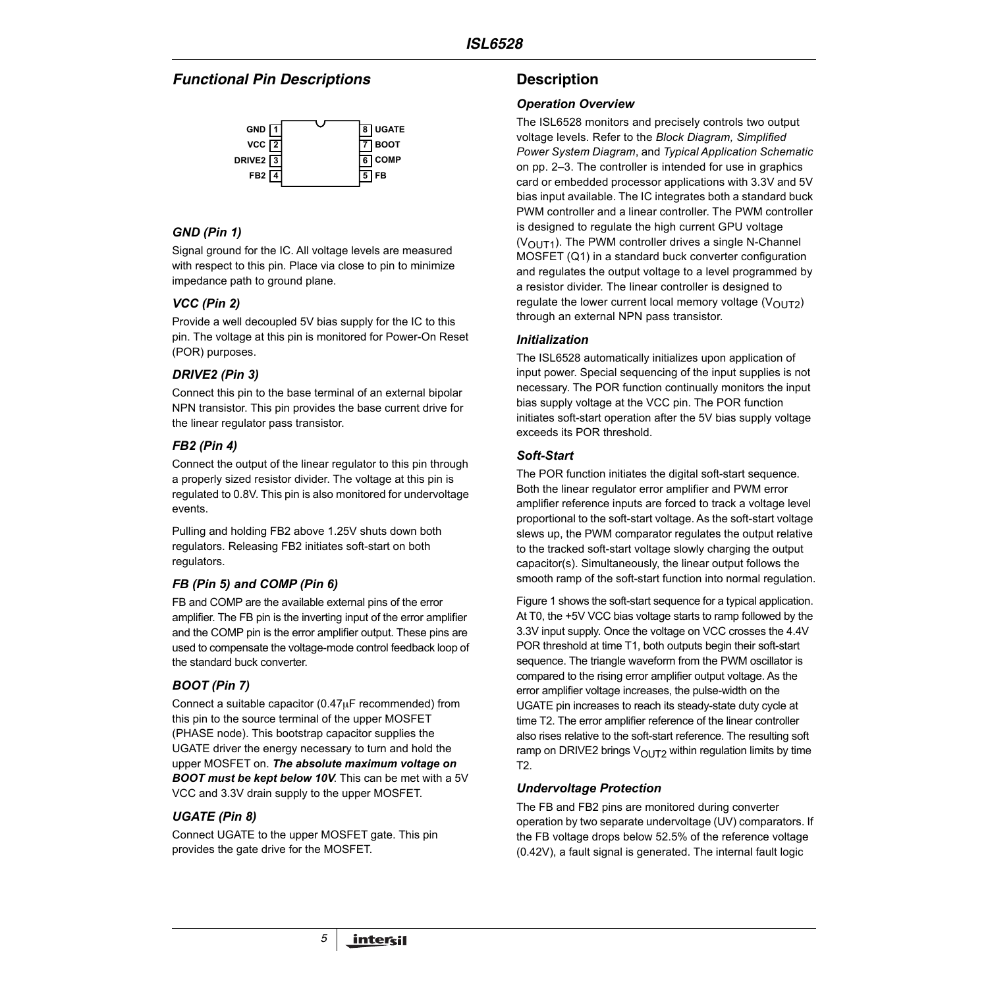# *Functional Pin Descriptions*



# *GND (Pin 1)*

Signal ground for the IC. All voltage levels are measured with respect to this pin. Place via close to pin to minimize impedance path to ground plane.

# *VCC (Pin 2)*

Provide a well decoupled 5V bias supply for the IC to this pin. The voltage at this pin is monitored for Power-On Reset (POR) purposes.

# *DRIVE2 (Pin 3)*

Connect this pin to the base terminal of an external bipolar NPN transistor. This pin provides the base current drive for the linear regulator pass transistor.

# *FB2 (Pin 4)*

Connect the output of the linear regulator to this pin through a properly sized resistor divider. The voltage at this pin is regulated to 0.8V. This pin is also monitored for undervoltage events.

Pulling and holding FB2 above 1.25V shuts down both regulators. Releasing FB2 initiates soft-start on both regulators.

# *FB (Pin 5) and COMP (Pin 6)*

FB and COMP are the available external pins of the error amplifier. The FB pin is the inverting input of the error amplifier and the COMP pin is the error amplifier output. These pins are used to compensate the voltage-mode control feedback loop of the standard buck converter.

# *BOOT (Pin 7)*

Connect a suitable capacitor (0.47µF recommended) from this pin to the source terminal of the upper MOSFET (PHASE node). This bootstrap capacitor supplies the UGATE driver the energy necessary to turn and hold the upper MOSFET on. *The absolute maximum voltage on BOOT must be kept below 10V*. This can be met with a 5V VCC and 3.3V drain supply to the upper MOSFET.

# *UGATE (Pin 8)*

Connect UGATE to the upper MOSFET gate. This pin provides the gate drive for the MOSFET.

# **Description**

### *Operation Overview*

The ISL6528 monitors and precisely controls two output voltage levels. Refer to the *Block Diagram, Simplified Power System Diagram*, and *Typical Application Schematic* on pp. 2–3. The controller is intended for use in graphics card or embedded processor applications with 3.3V and 5V bias input available. The IC integrates both a standard buck PWM controller and a linear controller. The PWM controller is designed to regulate the high current GPU voltage  $(V<sub>OUT1</sub>)$ . The PWM controller drives a single N-Channel MOSFET (Q1) in a standard buck converter configuration and regulates the output voltage to a level programmed by a resistor divider. The linear controller is designed to regulate the lower current local memory voltage  $(V<sub>OUT2</sub>)$ through an external NPN pass transistor.

### *Initialization*

The ISL6528 automatically initializes upon application of input power. Special sequencing of the input supplies is not necessary. The POR function continually monitors the input bias supply voltage at the VCC pin. The POR function initiates soft-start operation after the 5V bias supply voltage exceeds its POR threshold.

### *Soft-Start*

The POR function initiates the digital soft-start sequence. Both the linear regulator error amplifier and PWM error amplifier reference inputs are forced to track a voltage level proportional to the soft-start voltage. As the soft-start voltage slews up, the PWM comparator regulates the output relative to the tracked soft-start voltage slowly charging the output capacitor(s). Simultaneously, the linear output follows the smooth ramp of the soft-start function into normal regulation.

Figure [1](#page-5-0) shows the soft-start sequence for a typical application. At T0, the +5V VCC bias voltage starts to ramp followed by the 3.3V input supply. Once the voltage on VCC crosses the 4.4V POR threshold at time T1, both outputs begin their soft-start sequence. The triangle waveform from the PWM oscillator is compared to the rising error amplifier output voltage. As the error amplifier voltage increases, the pulse-width on the UGATE pin increases to reach its steady-state duty cycle at time T2. The error amplifier reference of the linear controller also rises relative to the soft-start reference. The resulting soft ramp on DRIVE2 brings  $V<sub>OUT2</sub>$  within regulation limits by time T2.

### *Undervoltage Protection*

The FB and FB2 pins are monitored during converter operation by two separate undervoltage (UV) comparators. If the FB voltage drops below 52.5% of the reference voltage (0.42V), a fault signal is generated. The internal fault logic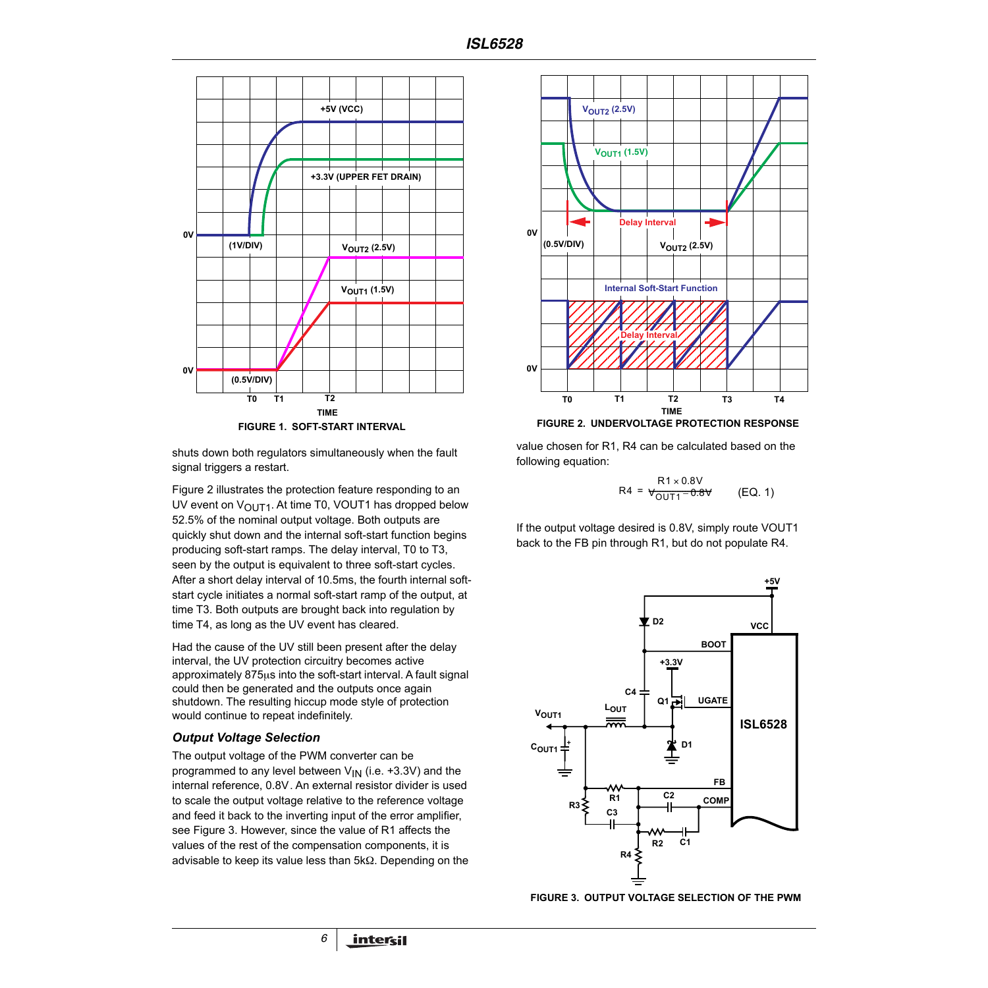

<span id="page-5-0"></span>shuts down both regulators simultaneously when the fault signal triggers a restart.

Figure [2](#page-5-1) illustrates the protection feature responding to an UV event on  $V_{\text{OUT1}}$ . At time T0, VOUT1 has dropped below 52.5% of the nominal output voltage. Both outputs are quickly shut down and the internal soft-start function begins producing soft-start ramps. The delay interval, T0 to T3, seen by the output is equivalent to three soft-start cycles. After a short delay interval of 10.5ms, the fourth internal softstart cycle initiates a normal soft-start ramp of the output, at time T3. Both outputs are brought back into regulation by time T4, as long as the UV event has cleared.

Had the cause of the UV still been present after the delay interval, the UV protection circuitry becomes active approximately 875µs into the soft-start interval. A fault signal could then be generated and the outputs once again shutdown. The resulting hiccup mode style of protection would continue to repeat indefinitely.

### *Output Voltage Selection*

The output voltage of the PWM converter can be programmed to any level between  $V_{IN}$  (i.e. +3.3V) and the internal reference, 0.8V. An external resistor divider is used to scale the output voltage relative to the reference voltage and feed it back to the inverting input of the error amplifier, see Figure [3](#page-5-2). However, since the value of R1 affects the values of the rest of the compensation components, it is advisable to keep its value less than 5kΩ. Depending on the

*6*



**FIGURE 2. UNDERVOLTAGE PROTECTION RESPONSE**

<span id="page-5-1"></span>value chosen for R1, R4 can be calculated based on the following equation:

$$
R4 = \frac{R1 \times 0.8V}{V_{OUT1} - 0.8V}
$$
 (EQ. 1)

If the output voltage desired is 0.8V, simply route VOUT1 back to the FB pin through R1, but do not populate R4.



<span id="page-5-2"></span>**FIGURE 3. OUTPUT VOLTAGE SELECTION OF THE PWM**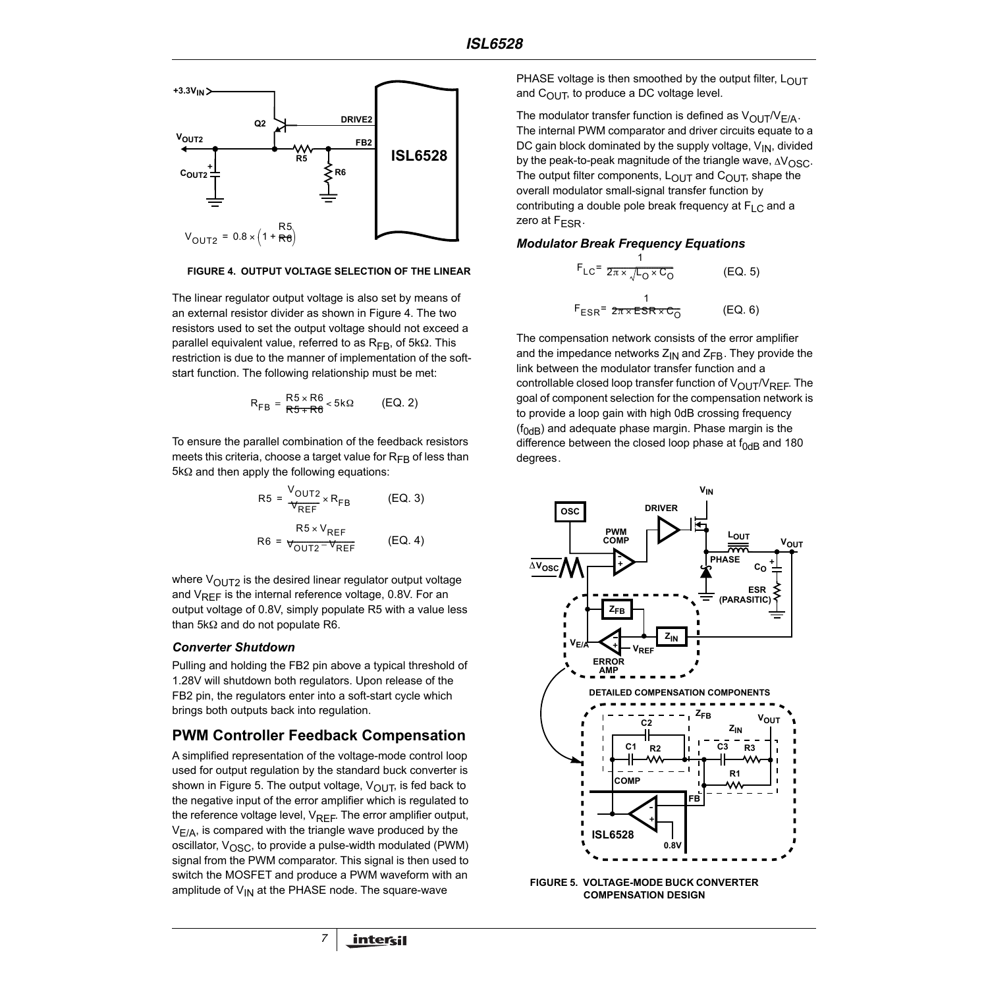

#### <span id="page-6-0"></span>**FIGURE 4. OUTPUT VOLTAGE SELECTION OF THE LINEAR**

The linear regulator output voltage is also set by means of an external resistor divider as shown in Figure [4](#page-6-0). The two resistors used to set the output voltage should not exceed a parallel equivalent value, referred to as R<sub>FB</sub>, of 5kΩ. This restriction is due to the manner of implementation of the softstart function. The following relationship must be met:

$$
R_{FB} = \frac{R5 \times R6}{R5 + R6} < 5k\Omega
$$
 (EQ. 2)

To ensure the parallel combination of the feedback resistors meets this criteria, choose a target value for  $R_{FB}$  of less than 5kΩ and then apply the following equations:

$$
R5 = \frac{V_{\text{OUT2}}}{V_{\text{REF}}} \times R_{\text{FB}}
$$
 (EQ. 3)  

$$
R5 \times V_{\text{REF}}
$$
  

$$
R6 = \frac{R5 \times V_{\text{REF}}}{V_{\text{OUT2}} - V_{\text{REF}}}
$$
 (EQ. 4)

where  $V_{\text{OUT2}}$  is the desired linear regulator output voltage and  $V_{REF}$  is the internal reference voltage, 0.8V. For an output voltage of 0.8V, simply populate R5 with a value less than 5kΩ and do not populate R6.

#### *Converter Shutdown*

Pulling and holding the FB2 pin above a typical threshold of 1.28V will shutdown both regulators. Upon release of the FB2 pin, the regulators enter into a soft-start cycle which brings both outputs back into regulation.

### **PWM Controller Feedback Compensation**

A simplified representation of the voltage-mode control loop used for output regulation by the standard buck converter is shown in Figure [5](#page-6-1). The output voltage,  $V_{\text{OUT}}$ , is fed back to the negative input of the error amplifier which is regulated to the reference voltage level,  $V_{REF}$ . The error amplifier output,  $V_{E/A}$ , is compared with the triangle wave produced by the oscillator,  $V_{\text{OSC}}$ , to provide a pulse-width modulated (PWM) signal from the PWM comparator. This signal is then used to switch the MOSFET and produce a PWM waveform with an amplitude of  $V_{IN}$  at the PHASE node. The square-wave

*7*

PHASE voltage is then smoothed by the output filter,  $L_{\text{OUT}}$ and  $C_{\text{OUT}}$ , to produce a DC voltage level.

The modulator transfer function is defined as  $V_{\text{OUT}}/V_{E/A}$ . The internal PWM comparator and driver circuits equate to a DC gain block dominated by the supply voltage,  $V_{IN}$ , divided by the peak-to-peak magnitude of the triangle wave,  $\Delta V_{\rm OSC}$ . The output filter components,  $L_{\text{OUT}}$  and  $C_{\text{OUT}}$ , shape the overall modulator small-signal transfer function by contributing a double pole break frequency at  $F_{LC}$  and a zero at  $F<sub>FSR</sub>$ .

### *Modulator Break Frequency Equations*

$$
F_{LC} = \frac{1}{2\pi \times \sqrt{L_0 \times C_0}}
$$
 (EQ. 5)  

$$
F_{ESR} = \frac{1}{2\pi \times ESR \times C_0}
$$
 (EQ. 6)

The compensation network consists of the error amplifier and the impedance networks  $Z_{IN}$  and  $Z_{FB}$ . They provide the link between the modulator transfer function and a controllable closed loop transfer function of  $V_{\text{OUT}}/V_{\text{REF}}$ . The goal of component selection for the compensation network is to provide a loop gain with high 0dB crossing frequency  $(f<sub>0</sub><sub>AB</sub>)$  and adequate phase margin. Phase margin is the difference between the closed loop phase at  $f_{0dB}$  and 180 degrees.



<span id="page-6-1"></span>**FIGURE 5. VOLTAGE-MODE BUCK CONVERTER COMPENSATION DESIGN**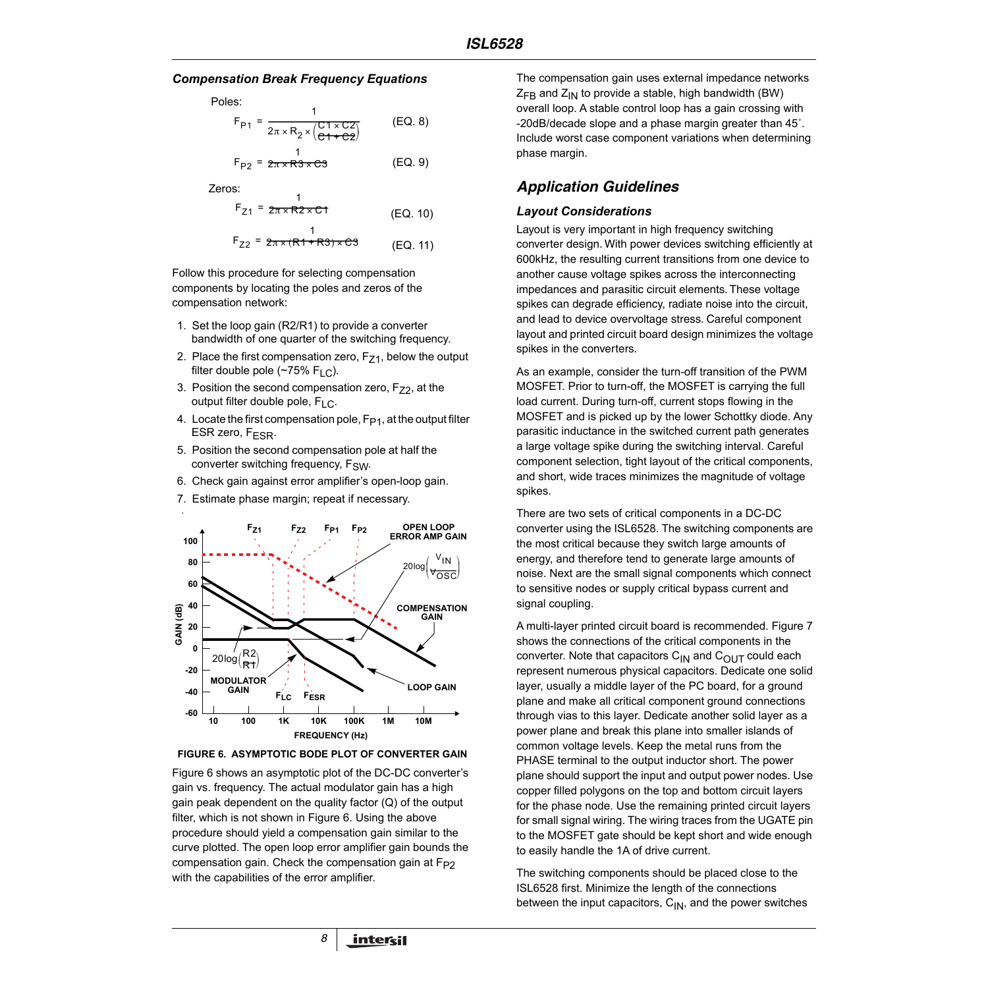### *Compensation Break Frequency Equations*

Poles:

$$
F_{P1} = \frac{1}{2\pi \times R_2 \times \frac{(C1 \times C2)}{(C1 + C2)}}\tag{EQ.8}
$$

$$
F_{P2} = \frac{1}{2\pi \times R3 \times C3}
$$
 (EQ. 9)

Zeros:

$$
F_{Z1} = \frac{1}{2\pi \times R2 \times C1}
$$
 (EQ. 10)

FZ2 <sup>1</sup> <sup>=</sup> 2------------------------------------------------------ <sup>π</sup> <sup>×</sup> ( ) R1 R3 <sup>+</sup> <sup>×</sup> C3- (EQ. 11)

Follow this procedure for selecting compensation components by locating the poles and zeros of the compensation network:

- 1. Set the loop gain (R2/R1) to provide a converter bandwidth of one quarter of the switching frequency.
- 2. Place the first compensation zero,  $F_{Z1}$ , below the output filter double pole ( $\sim$ 75% F<sub>LC</sub>).
- 3. Position the second compensation zero,  $F_{Z2}$ , at the output filter double pole,  $F_{LC}$ .
- 4. Locate the first compensation pole,  $F_{P1}$ , at the output filter ESR zero,  $F_{ESR}$ .
- 5. Position the second compensation pole at half the converter switching frequency,  $F_{SW}$ .
- 6. Check gain against error amplifier's open-loop gain.
- 7. Estimate phase margin; repeat if necessary.



<span id="page-7-0"></span>**FIGURE 6. ASYMPTOTIC BODE PLOT OF CONVERTER GAIN**

Figure [6](#page-7-0) shows an asymptotic plot of the DC-DC converter's gain vs. frequency. The actual modulator gain has a high gain peak dependent on the quality factor (Q) of the output filter, which is not shown in Figure [6](#page-7-0). Using the above procedure should yield a compensation gain similar to the curve plotted. The open loop error amplifier gain bounds the compensation gain. Check the compensation gain at F<sub>P2</sub> with the capabilities of the error amplifier.

*8*

The compensation gain uses external impedance networks  $Z_{FB}$  and  $Z_{IN}$  to provide a stable, high bandwidth (BW) overall loop. A stable control loop has a gain crossing with -20dB/decade slope and a phase margin greater than 45˚. Include worst case component variations when determining phase margin.

# *Application Guidelines*

### *Layout Considerations*

Layout is very important in high frequency switching converter design. With power devices switching efficiently at 600kHz, the resulting current transitions from one device to another cause voltage spikes across the interconnecting impedances and parasitic circuit elements. These voltage spikes can degrade efficiency, radiate noise into the circuit, and lead to device overvoltage stress. Careful component layout and printed circuit board design minimizes the voltage spikes in the converters.

As an example, consider the turn-off transition of the PWM MOSFET. Prior to turn-off, the MOSFET is carrying the full load current. During turn-off, current stops flowing in the MOSFET and is picked up by the lower Schottky diode. Any parasitic inductance in the switched current path generates a large voltage spike during the switching interval. Careful component selection, tight layout of the critical components, and short, wide traces minimizes the magnitude of voltage spikes.

There are two sets of critical components in a DC-DC converter using the ISL6528. The switching components are the most critical because they switch large amounts of energy, and therefore tend to generate large amounts of noise. Next are the small signal components which connect to sensitive nodes or supply critical bypass current and signal coupling.

A multi-layer printed circuit board is recommended. Figure 7 shows the connections of the critical components in the converter. Note that capacitors  $C_{IN}$  and  $C_{OUT}$  could each represent numerous physical capacitors. Dedicate one solid layer, usually a middle layer of the PC board, for a ground plane and make all critical component ground connections through vias to this layer. Dedicate another solid layer as a power plane and break this plane into smaller islands of common voltage levels. Keep the metal runs from the PHASE terminal to the output inductor short. The power plane should support the input and output power nodes. Use copper filled polygons on the top and bottom circuit layers for the phase node. Use the remaining printed circuit layers for small signal wiring. The wiring traces from the UGATE pin to the MOSFET gate should be kept short and wide enough to easily handle the 1A of drive current.

The switching components should be placed close to the ISL6528 first. Minimize the length of the connections between the input capacitors,  $C_{IN}$ , and the power switches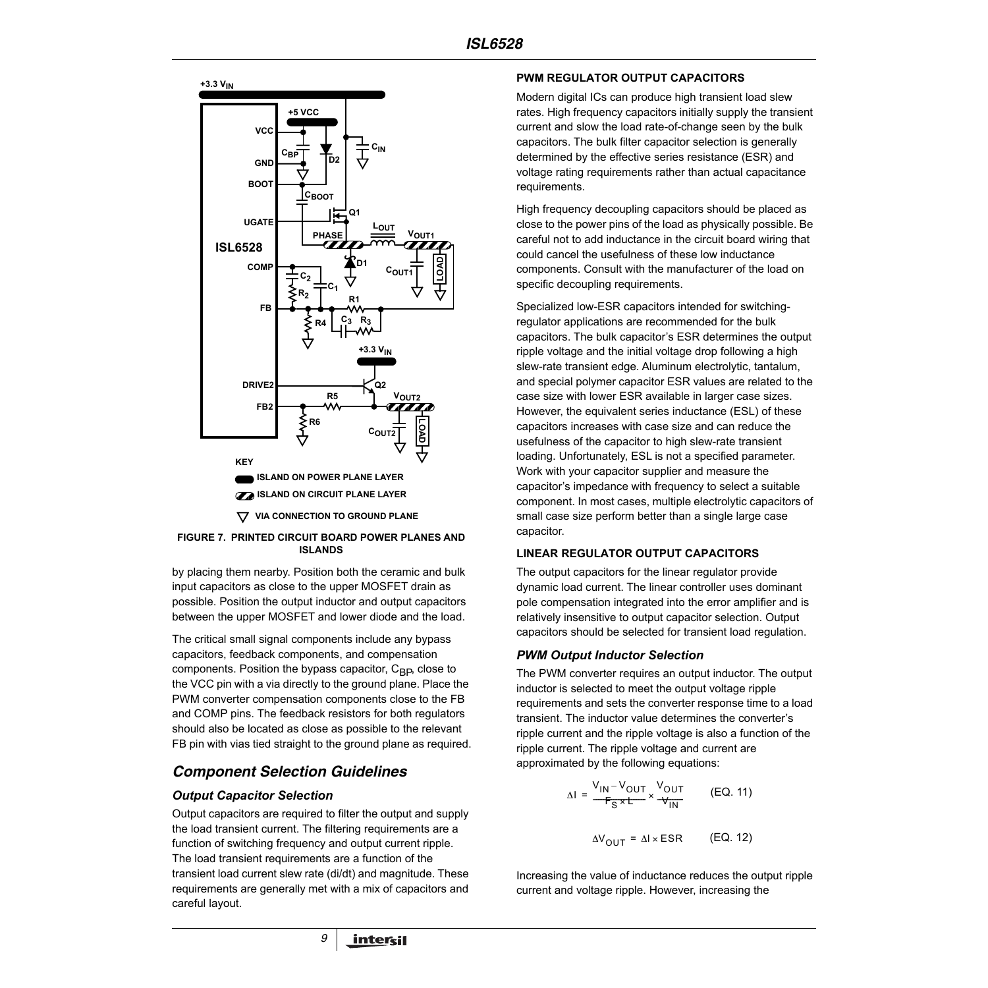

**FIGURE 7. PRINTED CIRCUIT BOARD POWER PLANES AND ISLANDS**

by placing them nearby. Position both the ceramic and bulk input capacitors as close to the upper MOSFET drain as possible. Position the output inductor and output capacitors between the upper MOSFET and lower diode and the load.

The critical small signal components include any bypass capacitors, feedback components, and compensation components. Position the bypass capacitor,  $C_{\text{BP}}$ , close to the VCC pin with a via directly to the ground plane. Place the PWM converter compensation components close to the FB and COMP pins. The feedback resistors for both regulators should also be located as close as possible to the relevant FB pin with vias tied straight to the ground plane as required.

# *Component Selection Guidelines*

# *Output Capacitor Selection*

Output capacitors are required to filter the output and supply the load transient current. The filtering requirements are a function of switching frequency and output current ripple. The load transient requirements are a function of the transient load current slew rate (di/dt) and magnitude. These requirements are generally met with a mix of capacitors and careful layout.

*9*

### **PWM REGULATOR OUTPUT CAPACITORS**

Modern digital ICs can produce high transient load slew rates. High frequency capacitors initially supply the transient current and slow the load rate-of-change seen by the bulk capacitors. The bulk filter capacitor selection is generally determined by the effective series resistance (ESR) and voltage rating requirements rather than actual capacitance requirements.

High frequency decoupling capacitors should be placed as close to the power pins of the load as physically possible. Be careful not to add inductance in the circuit board wiring that could cancel the usefulness of these low inductance components. Consult with the manufacturer of the load on specific decoupling requirements.

Specialized low-ESR capacitors intended for switchingregulator applications are recommended for the bulk capacitors. The bulk capacitor's ESR determines the output ripple voltage and the initial voltage drop following a high slew-rate transient edge. Aluminum electrolytic, tantalum, and special polymer capacitor ESR values are related to the case size with lower ESR available in larger case sizes. However, the equivalent series inductance (ESL) of these capacitors increases with case size and can reduce the usefulness of the capacitor to high slew-rate transient loading. Unfortunately, ESL is not a specified parameter. Work with your capacitor supplier and measure the capacitor's impedance with frequency to select a suitable component. In most cases, multiple electrolytic capacitors of small case size perform better than a single large case capacitor.

### **LINEAR REGULATOR OUTPUT CAPACITORS**

The output capacitors for the linear regulator provide dynamic load current. The linear controller uses dominant pole compensation integrated into the error amplifier and is relatively insensitive to output capacitor selection. Output capacitors should be selected for transient load regulation.

# *PWM Output Inductor Selection*

The PWM converter requires an output inductor. The output inductor is selected to meet the output voltage ripple requirements and sets the converter response time to a load transient. The inductor value determines the converter's ripple current and the ripple voltage is also a function of the ripple current. The ripple voltage and current are approximated by the following equations:

$$
\Delta I = \frac{V_{IN} - V_{OUT}}{F_S \times t} \times \frac{V_{OUT}}{V_{IN}} \qquad (EQ. 11)
$$

$$
\Delta V_{\text{OUT}} = \Delta I \times \text{ESR} \qquad \text{(EQ. 12)}
$$

Increasing the value of inductance reduces the output ripple current and voltage ripple. However, increasing the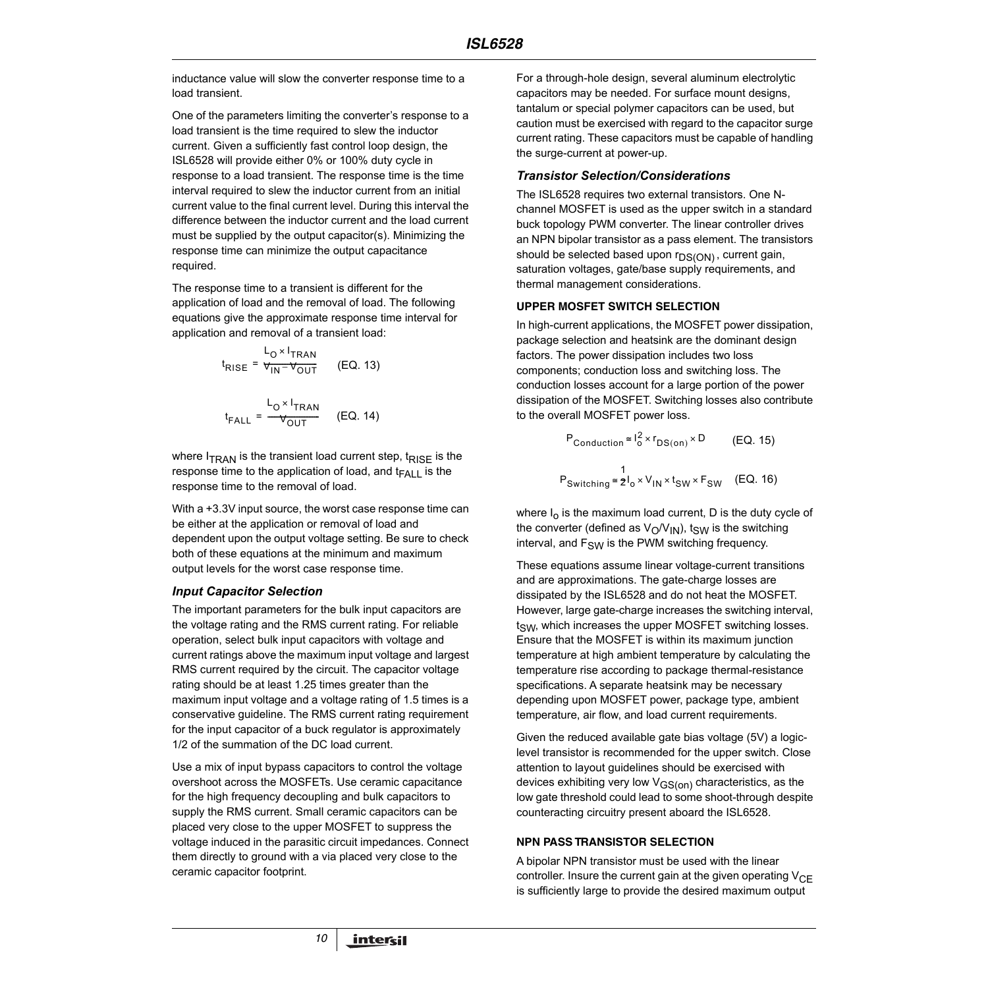inductance value will slow the converter response time to a load transient.

One of the parameters limiting the converter's response to a load transient is the time required to slew the inductor current. Given a sufficiently fast control loop design, the ISL6528 will provide either 0% or 100% duty cycle in response to a load transient. The response time is the time interval required to slew the inductor current from an initial current value to the final current level. During this interval the difference between the inductor current and the load current must be supplied by the output capacitor(s). Minimizing the response time can minimize the output capacitance required.

The response time to a transient is different for the application of load and the removal of load. The following equations give the approximate response time interval for application and removal of a transient load:

$$
t_{\text{RISE}} = \frac{L_0 \times I_{\text{TRAN}}}{V_{\text{IN}} - V_{\text{OUT}}}
$$
 (EQ. 13)  

$$
t_{\text{FALL}} = \frac{L_0 \times I_{\text{TRAN}}}{V_{\text{OUT}}}
$$
 (EQ. 14)

where  $I_{TRAN}$  is the transient load current step,  $t_{RISE}$  is the response time to the application of load, and  $t_{\text{FALL}}$  is the response time to the removal of load.

With a +3.3V input source, the worst case response time can be either at the application or removal of load and dependent upon the output voltage setting. Be sure to check both of these equations at the minimum and maximum output levels for the worst case response time.

### *Input Capacitor Selection*

The important parameters for the bulk input capacitors are the voltage rating and the RMS current rating. For reliable operation, select bulk input capacitors with voltage and current ratings above the maximum input voltage and largest RMS current required by the circuit. The capacitor voltage rating should be at least 1.25 times greater than the maximum input voltage and a voltage rating of 1.5 times is a conservative guideline. The RMS current rating requirement for the input capacitor of a buck regulator is approximately 1/2 of the summation of the DC load current.

Use a mix of input bypass capacitors to control the voltage overshoot across the MOSFETs. Use ceramic capacitance for the high frequency decoupling and bulk capacitors to supply the RMS current. Small ceramic capacitors can be placed very close to the upper MOSFET to suppress the voltage induced in the parasitic circuit impedances. Connect them directly to ground with a via placed very close to the ceramic capacitor footprint.

For a through-hole design, several aluminum electrolytic capacitors may be needed. For surface mount designs, tantalum or special polymer capacitors can be used, but caution must be exercised with regard to the capacitor surge current rating. These capacitors must be capable of handling the surge-current at power-up.

### *Transistor Selection/Considerations*

The ISL6528 requires two external transistors. One Nchannel MOSFET is used as the upper switch in a standard buck topology PWM converter. The linear controller drives an NPN bipolar transistor as a pass element. The transistors should be selected based upon  $r_{DS(ON)}$ , current gain, saturation voltages, gate/base supply requirements, and thermal management considerations.

### **UPPER MOSFET SWITCH SELECTION**

In high-current applications, the MOSFET power dissipation, package selection and heatsink are the dominant design factors. The power dissipation includes two loss components; conduction loss and switching loss. The conduction losses account for a large portion of the power dissipation of the MOSFET. Switching losses also contribute to the overall MOSFET power loss.

$$
P_{\text{Conduction}} \approx I_0^2 \times r_{DS(on)} \times D
$$
 (EQ. 15)  
\n
$$
P_{\text{Switching}} \approx 2I_0 \times V_{\text{IN}} \times t_{\text{SW}} \times F_{\text{SW}}
$$
 (EQ. 16)

where  $I_0$  is the maximum load current, D is the duty cycle of the converter (defined as  $V_O/V_{IN}$ ), tsw is the switching interval, and  $F_{SW}$  is the PWM switching frequency.

These equations assume linear voltage-current transitions and are approximations. The gate-charge losses are dissipated by the ISL6528 and do not heat the MOSFET. However, large gate-charge increases the switching interval,  $t<sub>SW</sub>$ , which increases the upper MOSFET switching losses. Ensure that the MOSFET is within its maximum junction temperature at high ambient temperature by calculating the temperature rise according to package thermal-resistance specifications. A separate heatsink may be necessary depending upon MOSFET power, package type, ambient temperature, air flow, and load current requirements.

Given the reduced available gate bias voltage (5V) a logiclevel transistor is recommended for the upper switch. Close attention to layout guidelines should be exercised with devices exhibiting very low  $V_{GS(0n)}$  characteristics, as the low gate threshold could lead to some shoot-through despite counteracting circuitry present aboard the ISL6528.

### **NPN PASS TRANSISTOR SELECTION**

A bipolar NPN transistor must be used with the linear controller. Insure the current gain at the given operating  $V_{\text{CE}}$ is sufficiently large to provide the desired maximum output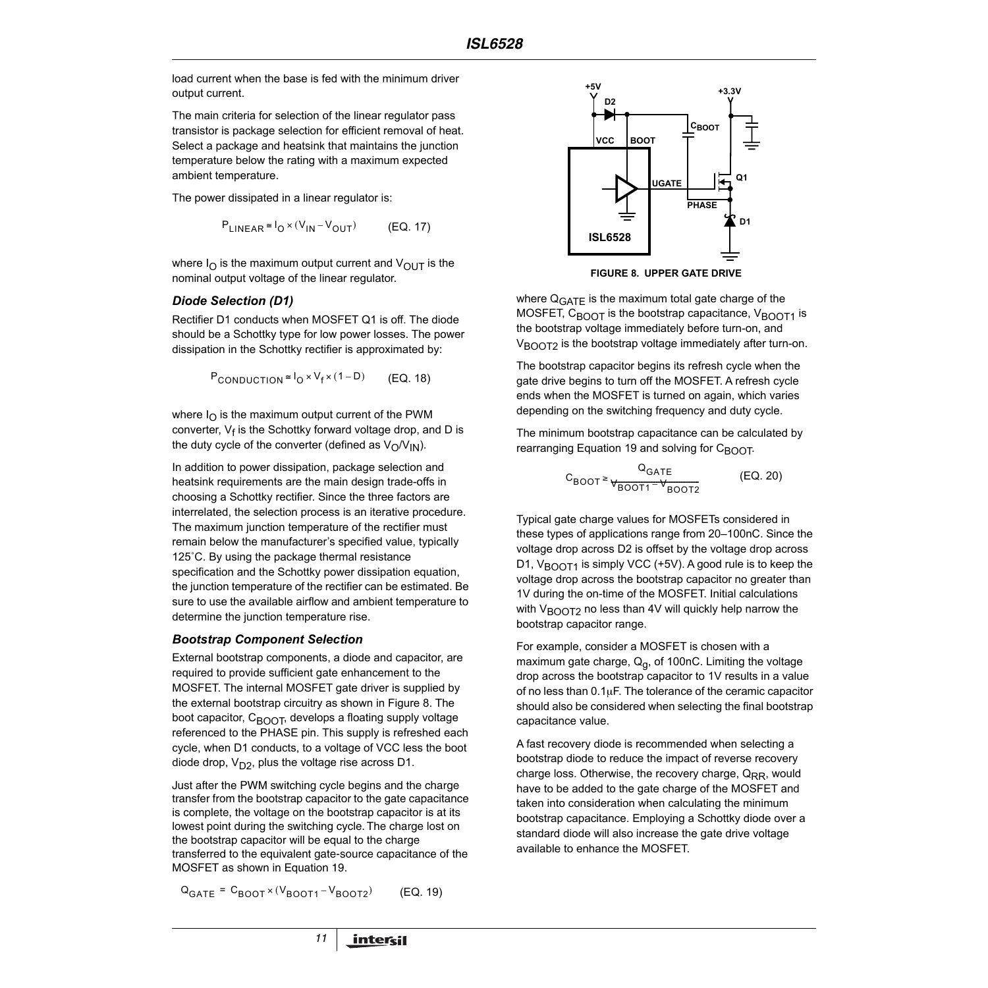load current when the base is fed with the minimum driver output current.

The main criteria for selection of the linear regulator pass transistor is package selection for efficient removal of heat. Select a package and heatsink that maintains the junction temperature below the rating with a maximum expected ambient temperature.

The power dissipated in a linear regulator is:

$$
P_{LINEAR} \approx I_0 \times (V_{IN} - V_{OUT})
$$
 (EQ. 17)

where  $I<sub>O</sub>$  is the maximum output current and  $V<sub>OUT</sub>$  is the nominal output voltage of the linear regulator.

### *Diode Selection (D1)*

Rectifier D1 conducts when MOSFET Q1 is off. The diode should be a Schottky type for low power losses. The power dissipation in the Schottky rectifier is approximated by:

$$
P_{\text{CONDUCTION}} \approx I_0 \times V_f \times (1 - D) \qquad (EQ. 18)
$$

where  $I_{\Omega}$  is the maximum output current of the PWM converter, V<sub>f</sub> is the Schottky forward voltage drop, and D is the duty cycle of the converter (defined as  $V_O/V_{IN}$ ).

In addition to power dissipation, package selection and heatsink requirements are the main design trade-offs in choosing a Schottky rectifier. Since the three factors are interrelated, the selection process is an iterative procedure. The maximum junction temperature of the rectifier must remain below the manufacturer's specified value, typically 125˚C. By using the package thermal resistance specification and the Schottky power dissipation equation, the junction temperature of the rectifier can be estimated. Be sure to use the available airflow and ambient temperature to determine the junction temperature rise.

### *Bootstrap Component Selection*

External bootstrap components, a diode and capacitor, are required to provide sufficient gate enhancement to the MOSFET. The internal MOSFET gate driver is supplied by the external bootstrap circuitry as shown in Figure [8](#page-10-0). The boot capacitor,  $C_{\text{BODT}}$ , develops a floating supply voltage referenced to the PHASE pin. This supply is refreshed each cycle, when D1 conducts, to a voltage of VCC less the boot diode drop,  $V_{D2}$ , plus the voltage rise across D1.

Just after the PWM switching cycle begins and the charge transfer from the bootstrap capacitor to the gate capacitance is complete, the voltage on the bootstrap capacitor is at its lowest point during the switching cycle. The charge lost on the bootstrap capacitor will be equal to the charge transferred to the equivalent gate-source capacitance of the MOSFET as shown in Equation 19.

 $Q_{GATE} = C_{BOOT} \times (V_{BOOT1} - V_{BOOT2})$  (EQ. 19)



**FIGURE 8. UPPER GATE DRIVE**

<span id="page-10-0"></span>where Q<sub>GATE</sub> is the maximum total gate charge of the MOSFET,  $C_{\text{BOOT}}$  is the bootstrap capacitance,  $V_{\text{BOOT1}}$  is the bootstrap voltage immediately before turn-on, and V<sub>BOOT2</sub> is the bootstrap voltage immediately after turn-on.

The bootstrap capacitor begins its refresh cycle when the gate drive begins to turn off the MOSFET. A refresh cycle ends when the MOSFET is turned on again, which varies depending on the switching frequency and duty cycle.

The minimum bootstrap capacitance can be calculated by rearranging Equation 19 and solving for C<sub>BOOT</sub>.

$$
C_{\text{BOOT}} \ge \frac{Q_{\text{GATE}}}{\Psi_{\text{BOOT1}} - \Psi_{\text{BOOT2}}} \tag{EQ. 20}
$$

Typical gate charge values for MOSFETs considered in these types of applications range from 20–100nC. Since the voltage drop across D2 is offset by the voltage drop across D1,  $V_{\text{BOD}T1}$  is simply VCC (+5V). A good rule is to keep the voltage drop across the bootstrap capacitor no greater than 1V during the on-time of the MOSFET. Initial calculations with  $V_{\text{BOOT2}}$  no less than 4V will quickly help narrow the bootstrap capacitor range.

For example, consider a MOSFET is chosen with a maximum gate charge,  $Q_{q}$ , of 100nC. Limiting the voltage drop across the bootstrap capacitor to 1V results in a value of no less than  $0.1\mu$ F. The tolerance of the ceramic capacitor should also be considered when selecting the final bootstrap capacitance value.

A fast recovery diode is recommended when selecting a bootstrap diode to reduce the impact of reverse recovery charge loss. Otherwise, the recovery charge,  $Q_{RR}$ , would have to be added to the gate charge of the MOSFET and taken into consideration when calculating the minimum bootstrap capacitance. Employing a Schottky diode over a standard diode will also increase the gate drive voltage available to enhance the MOSFET.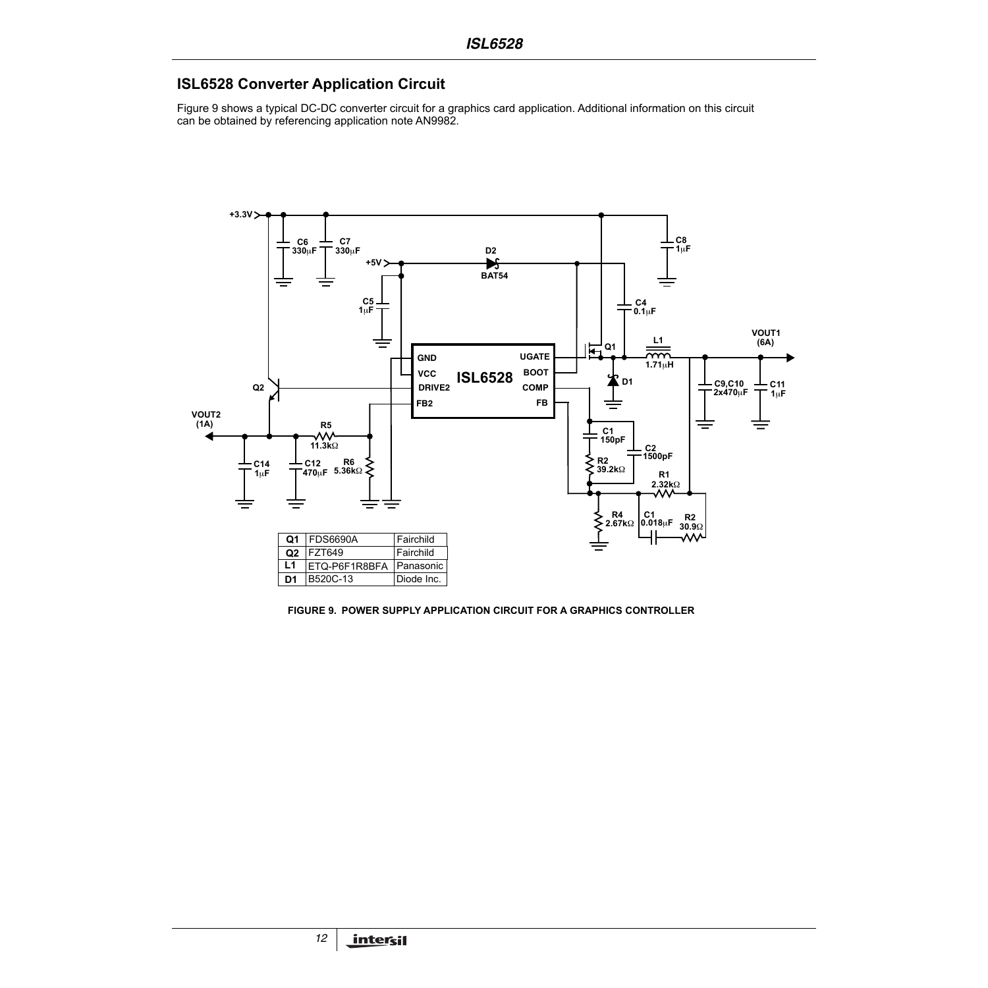# **ISL6528 Converter Application Circuit**

Figure 9 shows a typical DC-DC converter circuit for a graphics card application. Additional information on this circuit can be obtained by referencing application note AN9982.



**FIGURE 9. POWER SUPPLY APPLICATION CIRCUIT FOR A GRAPHICS CONTROLLER**